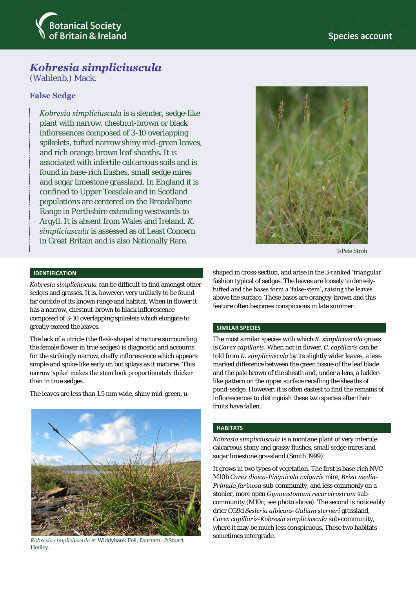

# *Kobresia simpliciuscula*

(Wahlenb.) Mack.

## **False Sedge**

*Kobresia simpliciuscula* is a slender, sedge-like plant with narrow, chestnut-brown or black infloresences composed of 3-10 overlapping spikelets, tufted narrow shiny mid-green leaves, and rich orange-brown leaf sheaths. It is associated with infertile calcareous soils and is found in base-rich flushes, small sedge mires and sugar limestone grassland. In England it is confined to Upper Teesdale and in Scotland populations are centered on the Breadalbane Range in Perthshire extending westwards to Argyll. It is absent from Wales and Ireland. *K. simpliciuscula* is assessed as of Least Concern in Great Britain and is also Nationally Rare.



©Pete Stroh

## **IDENTIFICATION**

*Kobresia simpliciuscula* can be difficult to find amongst other sedges and grasses. It is, however, very unlikely to be found far outside of its known range and habitat. When in flower it has a narrow, chestnut-brown to black inflorescence composed of 3-10 overlapping spikelets which elongate to greatly exceed the leaves.

The lack of a utricle (the flask-shaped structure surrounding the female flower in true sedges) is diagnostic and accounts for the strikingly narrow, chaffy inflorescence which appears simple and spike-like early on but splays as it matures. This narrow 'spike' makes the stem look proportionately thicker than in true sedges.

The leaves are less than 1.5 mm wide, shiny mid-green, u-



*Kobresia simpliciuscula* at Widdybank Fell, Durham. ©Stuart Hedley.

shaped in cross-section, and arise in the 3-ranked 'triangular' fashion typical of sedges. The leaves are loosely to denselytufted and the bases form a 'false-stem', raising the leaves above the surface. These bases are orangey-brown and this feature often becomes conspicuous in late summer.

## **SIMILAR SPECIES**

The most similar species with which *K. simpliciuscula* grows is *Carex capillaris*. When not in flower, *C. capillaris* can be told from *K. simpliciuscula* by its slightly wider leaves, a lessmarked difference between the green tissue of the leaf blade and the pale brown of the sheath and, under a lens, a ladderlike pattern on the upper surface recalling the sheaths of pond-sedge. However, it is often easiest to find the remains of inflorescences to distinguish these two species after their fruits have fallen.

#### **HABITATS**

*Kobresia simpliciuscula* is a montane plant of very infertile calcareous stony and grassy flushes, small sedge mires and sugar limestone grassland (Smith 1999).

It grows in two types of vegetation. The first is base-rich NVC M10b *Carex dioica*-*Pinguicula vulgaris* mire, *Briza media*-*Primula farinosa* sub-community, and less commonly on a stonier, more open *Gymnostomum recurvirostrum* subcommunity (M10c; see photo above). The second is noticeably drier CG9d *Sesleria albicans*-*Galium sterneri* grassland, *Carex capillaris*-*Kobresia simpliciuscula* sub-community, where it may be much less conspicuous. These two habitats sometimes intergrade.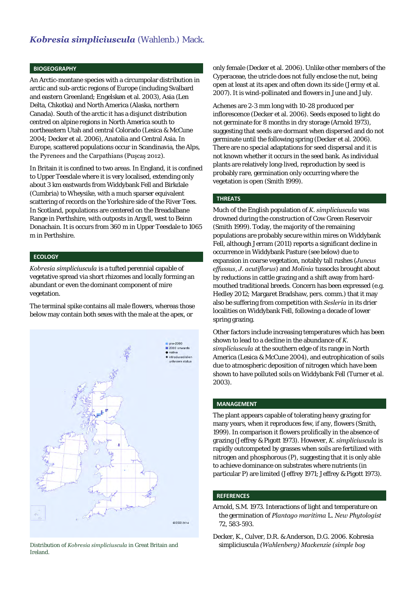## **BIOGEOGRAPHY**

An Arctic-montane species with a circumpolar distribution in arctic and sub-arctic regions of Europe (including Svalbard and eastern Greenland; Engelskøn et al. 2003), Asia (Len Delta, Chkotka) and North America (Alaska, northern Canada). South of the arctic it has a disjunct distribution centred on alpine regions in North America south to northeastern Utah and central Colorado (Lesica & McCune 2004; Decker et al. 2006), Anatolia and Central Asia. In Europe, scattered populations occur in Scandinavia, the Alps, the Pyrenees and the Carpathians (Puşcaş 2012).

In Britain it is confined to two areas. In England, it is confined to Upper Teesdale where it is very localised, extending only about 3 km eastwards from Widdybank Fell and Birkdale (Cumbria) to Wheysike, with a much sparser equivalent scattering of records on the Yorkshire side of the River Tees. In Scotland, populations are centered on the Breadalbane Range in Perthshire, with outposts in Argyll, west to Beinn Donachain. It is occurs from 360 m in Upper Teesdale to 1065 m in Perthshire.

## **ECOLOGY**

*Kobresia simpliciuscula* is a tufted perennial capable of vegetative spread via short rhizomes and locally forming an abundant or even the dominant component of mire vegetation.

The terminal spike contains all male flowers, whereas those below may contain both sexes with the male at the apex, or



Ireland.

only female (Decker et al. 2006). Unlike other members of the Cyperaceae, the utricle does not fully enclose the nut, being open at least at its apex and often down its side (Jermy et al. 2007). It is wind-pollinated and flowers in June and July.

Achenes are 2-3 mm long with 10-28 produced per inflorescence (Decker et al. 2006). Seeds exposed to light do not germinate for 8 months in dry storage (Arnold 1973), suggesting that seeds are dormant when dispersed and do not germinate until the following spring (Decker et al. 2006). There are no special adaptations for seed dispersal and it is not known whether it occurs in the seed bank. As individual plants are relatively long-lived, reproduction by seed is probably rare, germination only occurring where the vegetation is open (Smith 1999).

## **THREATS**

Much of the English population of *K. simpliciuscula* was drowned during the construction of Cow Green Reservoir (Smith 1999). Today, the majority of the remaining populations are probably secure within mires on Widdybank Fell, although Jerram (2011) reports a significant decline in occurrence in Widdybank Pasture (see below) due to expansion in coarse vegetation, notably tall rushes (*Juncus effussus*, *J. acutiflorus*) and *Molinia* tussocks brought about by reductions in cattle grazing and a shift away from hardmouthed traditional breeds. Concern has been expressed (e.g. Hedley 2012; Margaret Bradshaw, pers. comm.) that it may also be suffering from competition with *Sesleria* in its drier localities on Widdybank Fell, following a decade of lower spring grazing.

Other factors include increasing temperatures which has been shown to lead to a decline in the abundance of *K. simpliciuscula* at the southern edge of its range in North America (Lesica & McCune 2004), and eutrophication of soils due to atmospheric deposition of nitrogen which have been shown to have polluted soils on Widdybank Fell (Turner et al. 2003).

## **MANAGEMENT**

The plant appears capable of tolerating heavy grazing for many years, when it reproduces few, if any, flowers (Smith, 1999). In comparison it flowers prolifically in the absence of grazing (Jeffrey & Pigott 1973). However, *K. simpliciuscula* is rapidly outcompeted by grasses when soils are fertilized with nitrogen and phosphorous (P), suggesting that it is only able to achieve dominance on substrates where nutrients (in particular P) are limited (Jeffrey 1971; Jeffrey & Pigott 1973).

## **REFERENCES**

Arnold, S.M. 1973. Interactions of light and temperature on the germination of *Plantago maritima* L. *New Phytologist* 72, 583-593.

Decker, K., Culver, D.R. & Anderson, D.G. 2006. Kobresia Distribution of *Kobresia simpliciuscula* in Great Britain and simpliciuscula *(Wahlenberg) Mackenzie (simple bog*